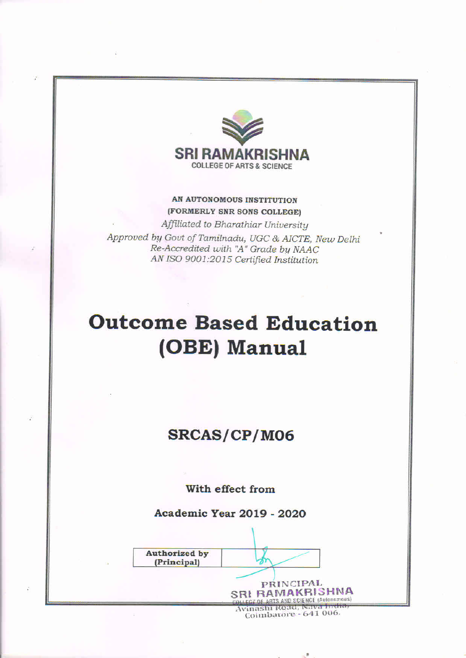

#### AN AUTONOMOUS INSTITUTION (FORMERLY SNR SONS COLLEGE)

Affiliated to Bharathiar University Approved by Govt of Tamilnadu, UGC & AICTE, New Delhi Re-Accredited with "A" Grade by NAAC AN ISO 9001:2015 Certified Institution

# **Outcome Based Education** (OBE) Manual

# **SRCAS/CP/M06**

With effect from

Academic Year 2019 - 2020

**Authorized by** (Principal) PRINCIPAL **SRI RAMAKRISHNA** 

COLLEGE OF ARTS AND SCIENCE (Autonomous) Coimbatore - 641 006.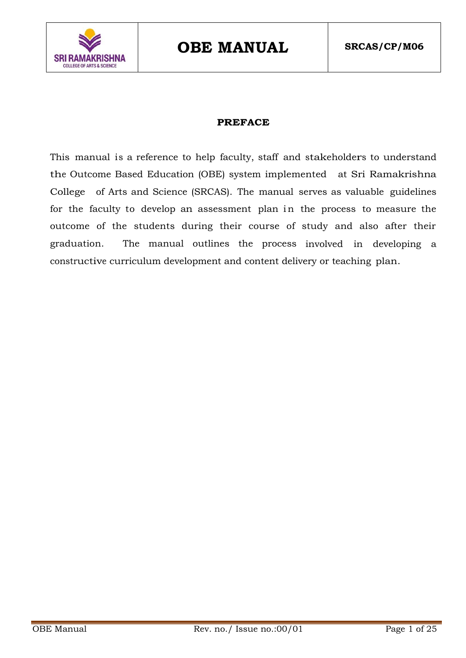

#### **PREFACE**

This manual is a reference to help faculty, staff and stakeholders to understand the Outcome Based Education (OBE) system implemented at Sri Ramakrishna College of Arts and Science (SRCAS). The manual serves as valuable guidelines for the faculty to develop an assessment plan in the process to measure the outcome of the students during their course of study and also after their graduation. The manual outlines the process involved in developing a constructive curriculum development and content delivery or teaching plan.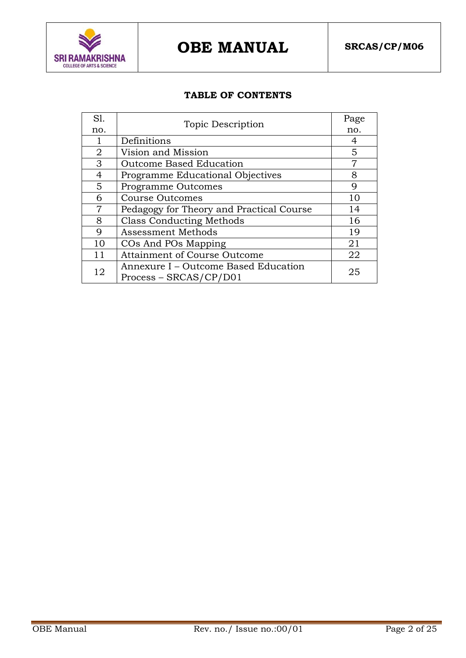

#### **TABLE OF CONTENTS**

| Sl. |                                                                | Page |  |  |  |  |  |
|-----|----------------------------------------------------------------|------|--|--|--|--|--|
| no. | Topic Description                                              |      |  |  |  |  |  |
|     | Definitions                                                    | 4    |  |  |  |  |  |
| 2   | Vision and Mission                                             | 5    |  |  |  |  |  |
| 3   | Outcome Based Education                                        | 7    |  |  |  |  |  |
| 4   | Programme Educational Objectives                               | 8    |  |  |  |  |  |
| 5   | <b>Programme Outcomes</b>                                      | 9    |  |  |  |  |  |
| 6   | <b>Course Outcomes</b>                                         | 10   |  |  |  |  |  |
| 7   | Pedagogy for Theory and Practical Course                       | 14   |  |  |  |  |  |
| 8   | <b>Class Conducting Methods</b>                                | 16   |  |  |  |  |  |
| 9   | Assessment Methods                                             | 19   |  |  |  |  |  |
| 10  | COs And POs Mapping                                            | 21   |  |  |  |  |  |
| 11  | <b>Attainment of Course Outcome</b>                            | 22   |  |  |  |  |  |
| 12  | Annexure I – Outcome Based Education<br>Process - SRCAS/CP/D01 | 25   |  |  |  |  |  |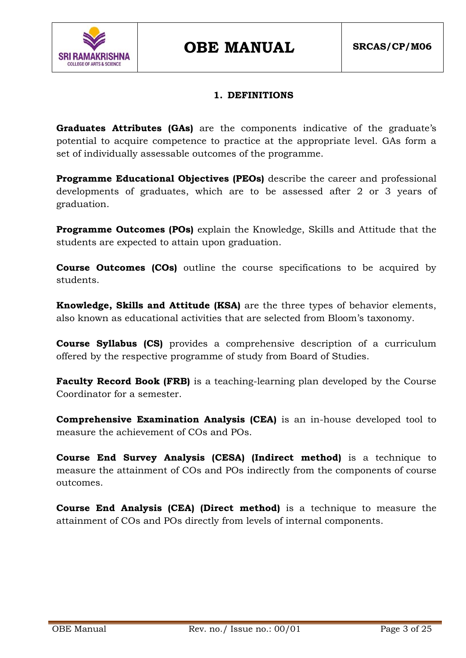

#### **1. DEFINITIONS**

**Graduates Attributes (GAs)** are the components indicative of the graduate's potential to acquire competence to practice at the appropriate level. GAs form a set of individually assessable outcomes of the programme.

**Programme Educational Objectives (PEOs)** describe the career and professional developments of graduates, which are to be assessed after 2 or 3 years of graduation.

**Programme Outcomes (POs)** explain the Knowledge, Skills and Attitude that the students are expected to attain upon graduation.

**Course Outcomes (COs)** outline the course specifications to be acquired by students.

**Knowledge, Skills and Attitude (KSA)** are the three types of behavior elements, also known as educational activities that are selected from Bloom"s taxonomy.

**Course Syllabus (CS)** provides a comprehensive description of a curriculum offered by the respective programme of study from Board of Studies.

**Faculty Record Book (FRB)** is a teaching-learning plan developed by the Course Coordinator for a semester.

**Comprehensive Examination Analysis (CEA)** is an in-house developed tool to measure the achievement of COs and POs.

**Course End Survey Analysis (CESA) (Indirect method)** is a technique to measure the attainment of COs and POs indirectly from the components of course outcomes.

**Course End Analysis (CEA) (Direct method)** is a technique to measure the attainment of COs and POs directly from levels of internal components.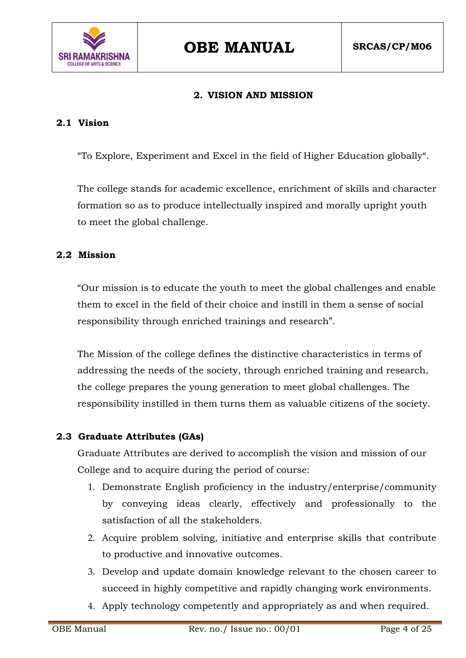

#### **2. VISION AND MISSION**

#### **2.1 Vision**

"To Explore, Experiment and Excel in the field of Higher Education globally".

The college stands for academic excellence, enrichment of skills and character formation so as to produce intellectually inspired and morally upright youth to meet the global challenge.

#### **2.2 Mission**

"Our mission is to educate the youth to meet the global challenges and enable them to excel in the field of their choice and instill in them a sense of social responsibility through enriched trainings and research".

The Mission of the college defines the distinctive characteristics in terms of addressing the needs of the society, through enriched training and research, the college prepares the young generation to meet global challenges. The responsibility instilled in them turns them as valuable citizens of the society.

#### **2.3 Graduate Attributes (GAs)**

Graduate Attributes are derived to accomplish the vision and mission of our College and to acquire during the period of course:

- 1. Demonstrate English proficiency in the industry/enterprise/community by conveying ideas clearly, effectively and professionally to the satisfaction of all the stakeholders.
- 2. Acquire problem solving, initiative and enterprise skills that contribute to productive and innovative outcomes.
- 3. Develop and update domain knowledge relevant to the chosen career to succeed in highly competitive and rapidly changing work environments.
- 4. Apply technology competently and appropriately as and when required.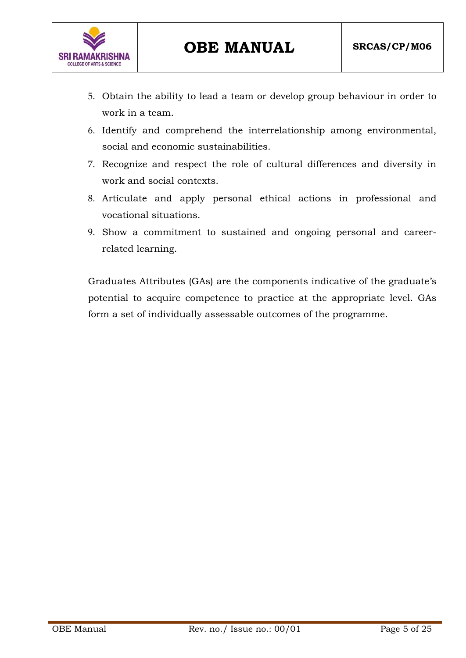

- 5. Obtain the ability to lead a team or develop group behaviour in order to work in a team.
- 6. Identify and comprehend the interrelationship among environmental, social and economic sustainabilities.
- 7. Recognize and respect the role of cultural differences and diversity in work and social contexts.
- 8. Articulate and apply personal ethical actions in professional and vocational situations.
- 9. Show a commitment to sustained and ongoing personal and careerrelated learning.

Graduates Attributes (GAs) are the components indicative of the graduate"s potential to acquire competence to practice at the appropriate level. GAs form a set of individually assessable outcomes of the programme.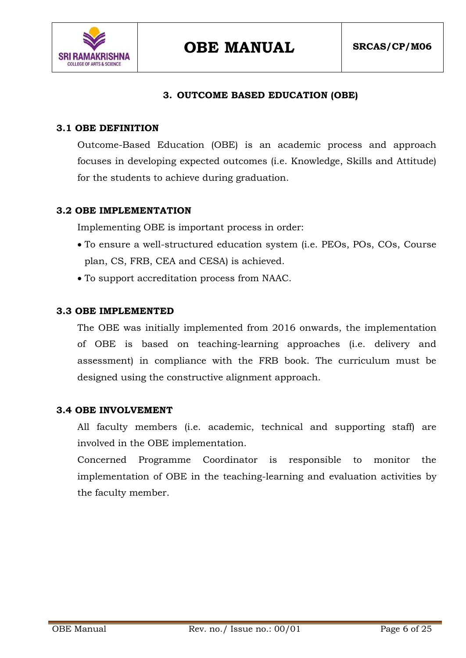

#### **3. OUTCOME BASED EDUCATION (OBE)**

#### **3.1 OBE DEFINITION**

Outcome-Based Education (OBE) is an academic process and approach focuses in developing expected outcomes (i.e. Knowledge, Skills and Attitude) for the students to achieve during graduation.

#### **3.2 OBE IMPLEMENTATION**

Implementing OBE is important process in order:

- To ensure a well-structured education system (i.e. PEOs, POs, COs, Course plan, CS, FRB, CEA and CESA) is achieved.
- To support accreditation process from NAAC.

#### **3.3 OBE IMPLEMENTED**

The OBE was initially implemented from 2016 onwards, the implementation of OBE is based on teaching-learning approaches (i.e. delivery and assessment) in compliance with the FRB book. The curriculum must be designed using the constructive alignment approach.

#### **3.4 OBE INVOLVEMENT**

All faculty members (i.e. academic, technical and supporting staff) are involved in the OBE implementation.

Concerned Programme Coordinator is responsible to monitor the implementation of OBE in the teaching-learning and evaluation activities by the faculty member.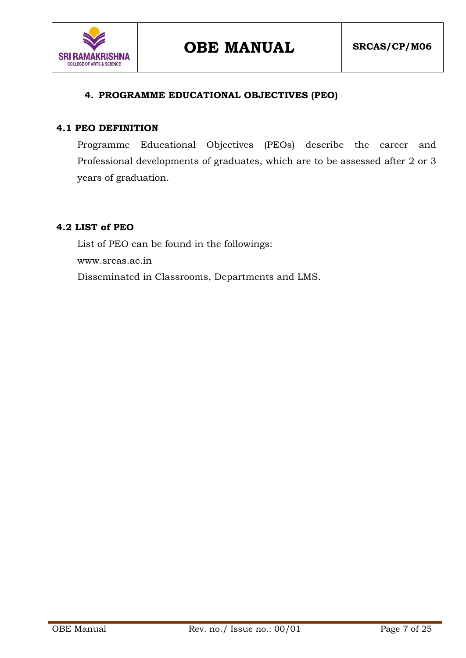



#### **4.1 PEO DEFINITION**

**SRI RAMAKRISHNA COLLEGE OF ARTS & SCIENCE** 

> Programme Educational Objectives (PEOs) describe the career and Professional developments of graduates, which are to be assessed after 2 or 3 years of graduation.

#### **4.2 LIST of PEO**

List of PEO can be found in the followings: www.srcas.ac.in Disseminated in Classrooms, Departments and LMS.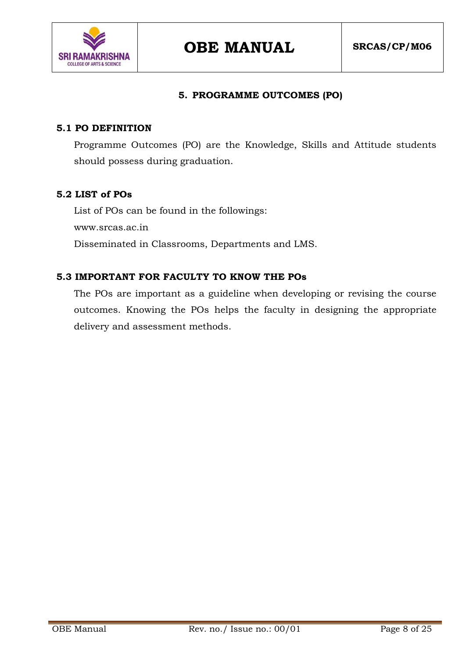

#### **5. PROGRAMME OUTCOMES (PO)**

#### **5.1 PO DEFINITION**

Programme Outcomes (PO) are the Knowledge, Skills and Attitude students should possess during graduation.

#### **5.2 LIST of POs**

List of POs can be found in the followings: www.srcas.ac.in Disseminated in Classrooms, Departments and LMS.

#### **5.3 IMPORTANT FOR FACULTY TO KNOW THE POs**

The POs are important as a guideline when developing or revising the course outcomes. Knowing the POs helps the faculty in designing the appropriate delivery and assessment methods.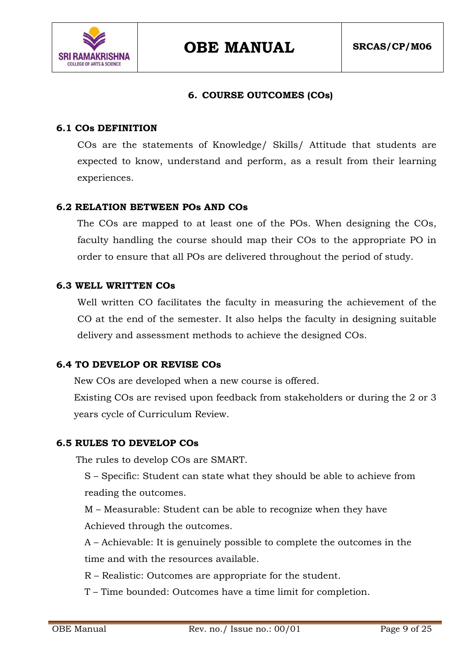

#### **6. COURSE OUTCOMES (COs)**

#### **6.1 COs DEFINITION**

COs are the statements of Knowledge/ Skills/ Attitude that students are expected to know, understand and perform, as a result from their learning experiences.

#### **6.2 RELATION BETWEEN POs AND COs**

The COs are mapped to at least one of the POs. When designing the COs, faculty handling the course should map their COs to the appropriate PO in order to ensure that all POs are delivered throughout the period of study.

#### **6.3 WELL WRITTEN COs**

Well written CO facilitates the faculty in measuring the achievement of the CO at the end of the semester. It also helps the faculty in designing suitable delivery and assessment methods to achieve the designed COs.

#### **6.4 TO DEVELOP OR REVISE COs**

New COs are developed when a new course is offered.

Existing COs are revised upon feedback from stakeholders or during the 2 or 3 years cycle of Curriculum Review.

#### **6.5 RULES TO DEVELOP COs**

The rules to develop COs are SMART.

S – Specific: Student can state what they should be able to achieve from reading the outcomes.

M – Measurable: Student can be able to recognize when they have Achieved through the outcomes.

A – Achievable: It is genuinely possible to complete the outcomes in the time and with the resources available.

- R Realistic: Outcomes are appropriate for the student.
- T Time bounded: Outcomes have a time limit for completion.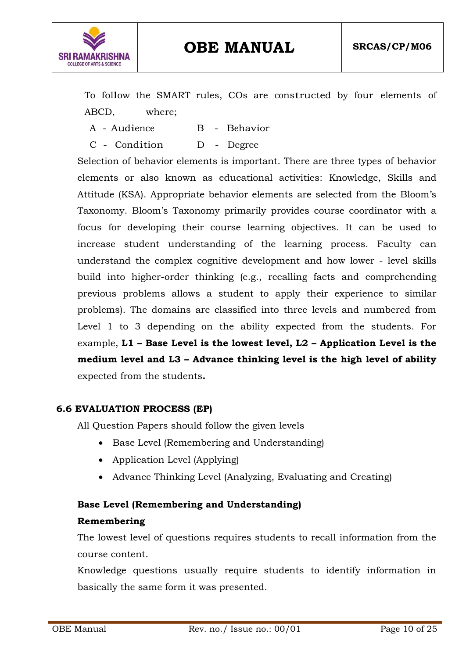

To follow the SMART rules, COs are constructed by four elements of ABCD, where;

- A Audience B Behavior
- C Condition D Degree

Selection of behavior elements is important. There are three types of behavior elements or also known as educational activities: Knowledge, Skills and Attitude (KSA). Appropriate behavior elements are selected from the Bloom"s Taxonomy. Bloom"s Taxonomy primarily provides course coordinator with a focus for developing their course learning objectives. It can be used to increase student understanding of the learning process. Faculty can understand the complex cognitive development and how lower - level skills build into higher-order thinking (e.g., recalling facts and comprehending previous problems allows a student to apply their experience to similar problems). The domains are classified into three levels and numbered from Level 1 to 3 depending on the ability expected from the students. For example, **L1 – Base Level is the lowest level, L2 – Application Level is the medium level and L3 – Advance thinking level is the high level of ability**  expected from the students**.**

#### **6.6 EVALUATION PROCESS (EP)**

All Question Papers should follow the given levels

- Base Level (Remembering and Understanding)
- Application Level (Applying)
- Advance Thinking Level (Analyzing, Evaluating and Creating)

#### **Base Level (Remembering and Understanding)**

#### **Remembering**

The lowest level of questions requires students to recall information from the course content.

Knowledge questions usually require students to identify information in basically the same form it was presented.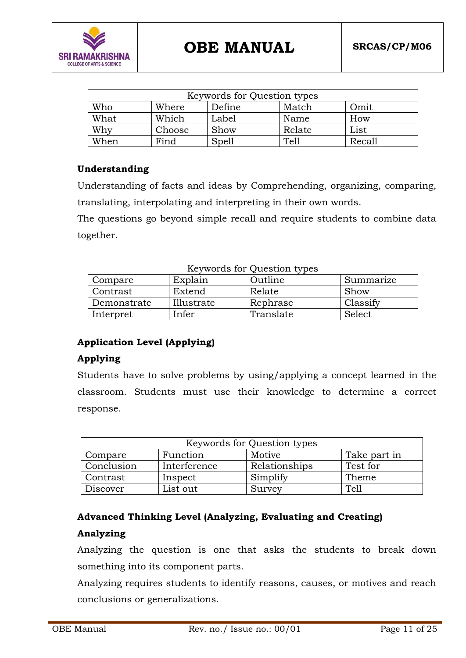

| Keywords for Question types |        |        |        |        |  |  |  |
|-----------------------------|--------|--------|--------|--------|--|--|--|
| Who                         | Where  | Define | Match  | Omit   |  |  |  |
| What                        | Which  | Label  | Name   | How    |  |  |  |
| Why                         | Choose | Show   | Relate | List   |  |  |  |
| When                        | Find   | Spell  | Tell   | Recall |  |  |  |

#### **Understanding**

Understanding of facts and ideas by Comprehending, organizing, comparing, translating, interpolating and interpreting in their own words.

The questions go beyond simple recall and require students to combine data together.

| Keywords for Question types                |       |           |          |  |  |  |  |
|--------------------------------------------|-------|-----------|----------|--|--|--|--|
| Outline<br>Explain<br>Summarize<br>Compare |       |           |          |  |  |  |  |
| Contrast<br>Extend                         |       | Relate    | Show     |  |  |  |  |
| Illustrate<br>Demonstrate                  |       | Rephrase  | Classify |  |  |  |  |
| Interpret                                  | Infer | Translate | Select   |  |  |  |  |

#### **Application Level (Applying)**

#### **Applying**

Students have to solve problems by using/applying a concept learned in the classroom. Students must use their knowledge to determine a correct response.

| Keywords for Question types                   |              |               |          |  |  |  |  |
|-----------------------------------------------|--------------|---------------|----------|--|--|--|--|
| Take part in<br>Function<br>Motive<br>Compare |              |               |          |  |  |  |  |
| Conclusion                                    | Interference | Relationships | Test for |  |  |  |  |
| Contrast                                      | Inspect      | Simplify      | Theme    |  |  |  |  |
| Discover                                      | List out     | Survey        | Tell     |  |  |  |  |

### **Advanced Thinking Level (Analyzing, Evaluating and Creating) Analyzing**

Analyzing the question is one that asks the students to break down something into its component parts.

Analyzing requires students to identify reasons, causes, or motives and reach conclusions or generalizations.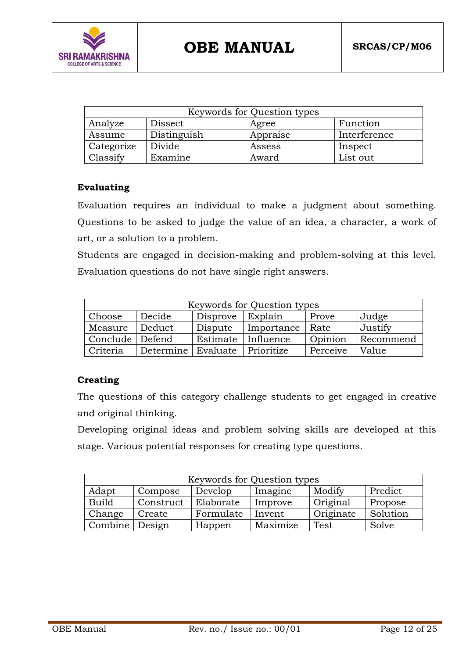

| Keywords for Question types |                |          |              |  |  |  |  |
|-----------------------------|----------------|----------|--------------|--|--|--|--|
| Analyze                     | <b>Dissect</b> | Agree    | Function     |  |  |  |  |
| Assume                      | Distinguish    | Appraise | Interference |  |  |  |  |
| Categorize                  | Divide         | Assess   | Inspect      |  |  |  |  |
| Classify                    | Examine        | Award    | List out     |  |  |  |  |

#### **Evaluating**

Evaluation requires an individual to make a judgment about something. Questions to be asked to judge the value of an idea, a character, a work of art, or a solution to a problem.

Students are engaged in decision-making and problem-solving at this level. Evaluation questions do not have single right answers.

| Keywords for Question types                               |                                   |         |                    |          |           |  |  |
|-----------------------------------------------------------|-----------------------------------|---------|--------------------|----------|-----------|--|--|
| Choose<br>Decide<br>Explain<br>Judge<br>Disprove<br>Prove |                                   |         |                    |          |           |  |  |
| Measure                                                   | Deduct                            | Dispute | Importance         | Rate     | Justify   |  |  |
| Conclude Defend                                           |                                   |         | Estimate Influence | Opinion  | Recommend |  |  |
| Criteria                                                  | Determine   Evaluate   Prioritize |         |                    | Perceive | Value     |  |  |

#### **Creating**

The questions of this category challenge students to get engaged in creative and original thinking.

Developing original ideas and problem solving skills are developed at this stage. Various potential responses for creating type questions.

| Keywords for Question types                                 |           |           |          |           |          |  |  |
|-------------------------------------------------------------|-----------|-----------|----------|-----------|----------|--|--|
| Predict<br>Modify<br>Adapt<br>Imagine<br>Develop<br>Compose |           |           |          |           |          |  |  |
| <b>Build</b>                                                | Construct | Elaborate | Improve  | Original  | Propose  |  |  |
| Change                                                      | Create    | Formulate | Invent   | Originate | Solution |  |  |
| Combine                                                     | Design    | Happen    | Maximize | Test      | Solve    |  |  |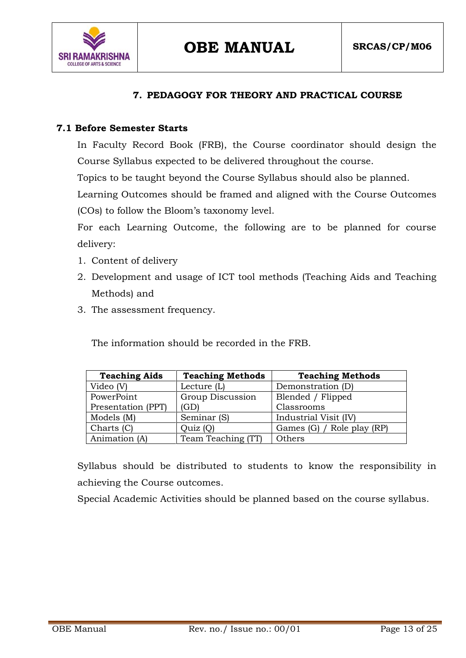



#### **7. PEDAGOGY FOR THEORY AND PRACTICAL COURSE**

#### **7.1 Before Semester Starts**

In Faculty Record Book (FRB), the Course coordinator should design the Course Syllabus expected to be delivered throughout the course.

Topics to be taught beyond the Course Syllabus should also be planned.

Learning Outcomes should be framed and aligned with the Course Outcomes (COs) to follow the Bloom"s taxonomy level.

For each Learning Outcome, the following are to be planned for course delivery:

- 1. Content of delivery
- 2. Development and usage of ICT tool methods (Teaching Aids and Teaching Methods) and
- 3. The assessment frequency.

The information should be recorded in the FRB.

| <b>Teaching Aids</b> | <b>Teaching Methods</b> | <b>Teaching Methods</b>    |
|----------------------|-------------------------|----------------------------|
| Video (V)            | Lecture (L)             | Demonstration (D)          |
| PowerPoint           | Group Discussion        | Blended / Flipped          |
| Presentation (PPT)   | (GD)                    | Classrooms                 |
| Models (M)           | Seminar (S)             | Industrial Visit (IV)      |
| Charts (C)           | Quiz (Q)                | Games (G) / Role play (RP) |
| Animation (A)        | Team Teaching (TT)      | Others                     |

Syllabus should be distributed to students to know the responsibility in achieving the Course outcomes.

Special Academic Activities should be planned based on the course syllabus.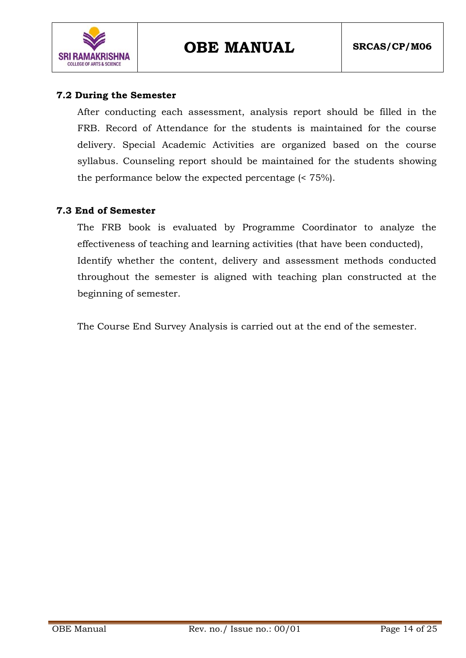

#### **7.2 During the Semester**

After conducting each assessment, analysis report should be filled in the FRB. Record of Attendance for the students is maintained for the course delivery. Special Academic Activities are organized based on the course syllabus. Counseling report should be maintained for the students showing the performance below the expected percentage (< 75%).

#### **7.3 End of Semester**

The FRB book is evaluated by Programme Coordinator to analyze the effectiveness of teaching and learning activities (that have been conducted), Identify whether the content, delivery and assessment methods conducted throughout the semester is aligned with teaching plan constructed at the beginning of semester.

The Course End Survey Analysis is carried out at the end of the semester.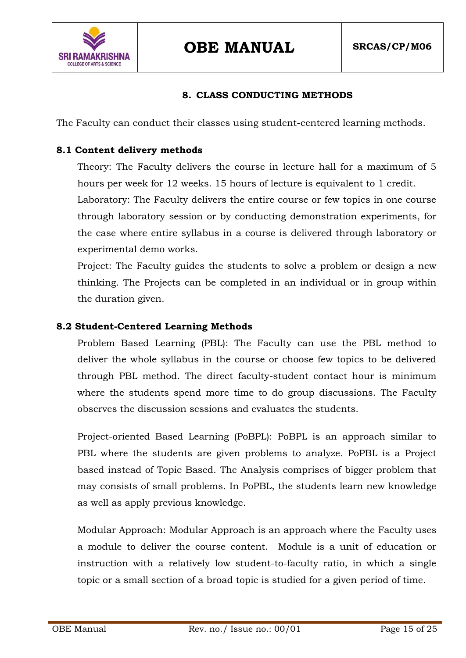

#### **8. CLASS CONDUCTING METHODS**

The Faculty can conduct their classes using student-centered learning methods.

#### **8.1 Content delivery methods**

Theory: The Faculty delivers the course in lecture hall for a maximum of 5 hours per week for 12 weeks. 15 hours of lecture is equivalent to 1 credit.

Laboratory: The Faculty delivers the entire course or few topics in one course through laboratory session or by conducting demonstration experiments, for the case where entire syllabus in a course is delivered through laboratory or experimental demo works.

Project: The Faculty guides the students to solve a problem or design a new thinking. The Projects can be completed in an individual or in group within the duration given.

#### **8.2 Student-Centered Learning Methods**

Problem Based Learning (PBL): The Faculty can use the PBL method to deliver the whole syllabus in the course or choose few topics to be delivered through PBL method. The direct faculty-student contact hour is minimum where the students spend more time to do group discussions. The Faculty observes the discussion sessions and evaluates the students.

Project-oriented Based Learning (PoBPL): PoBPL is an approach similar to PBL where the students are given problems to analyze. PoPBL is a Project based instead of Topic Based. The Analysis comprises of bigger problem that may consists of small problems. In PoPBL, the students learn new knowledge as well as apply previous knowledge.

Modular Approach: Modular Approach is an approach where the Faculty uses a module to deliver the course content. Module is a unit of education or instruction with a relatively low student-to-faculty ratio, in which a single topic or a small section of a broad topic is studied for a given period of time.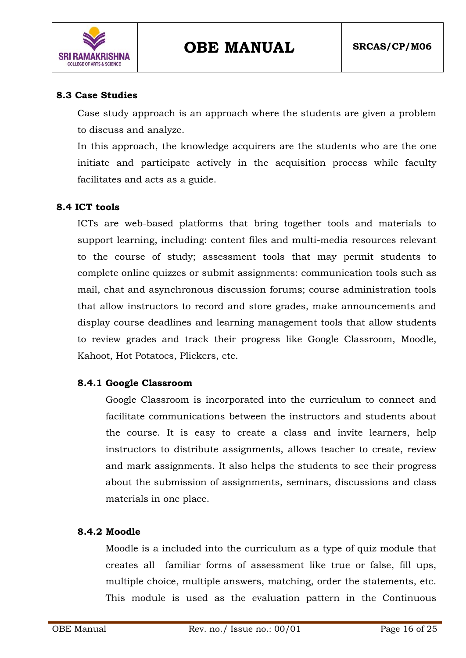

#### **8.3 Case Studies**

Case study approach is an approach where the students are given a problem to discuss and analyze.

In this approach, the knowledge acquirers are the students who are the one initiate and participate actively in the acquisition process while faculty facilitates and acts as a guide.

#### **8.4 ICT tools**

ICTs are web-based platforms that bring together tools and materials to support learning, including: content files and multi-media resources relevant to the course of study; assessment tools that may permit students to complete online quizzes or submit assignments: communication tools such as mail, chat and asynchronous discussion forums; course administration tools that allow instructors to record and store grades, make announcements and display course deadlines and learning management tools that allow students to review grades and track their progress like Google Classroom, Moodle, Kahoot, Hot Potatoes, Plickers, etc.

#### **8.4.1 Google Classroom**

Google Classroom is incorporated into the curriculum to connect and facilitate communications between the instructors and students about the course. It is easy to create a class and invite learners, help instructors to distribute assignments, allows teacher to create, review and mark assignments. It also helps the students to see their progress about the submission of assignments, seminars, discussions and class materials in one place.

#### **8.4.2 Moodle**

Moodle is a included into the curriculum as a type of quiz module that creates all familiar forms of assessment like true or false, fill ups, multiple choice, multiple answers, matching, order the statements, etc. This module is used as the evaluation pattern in the Continuous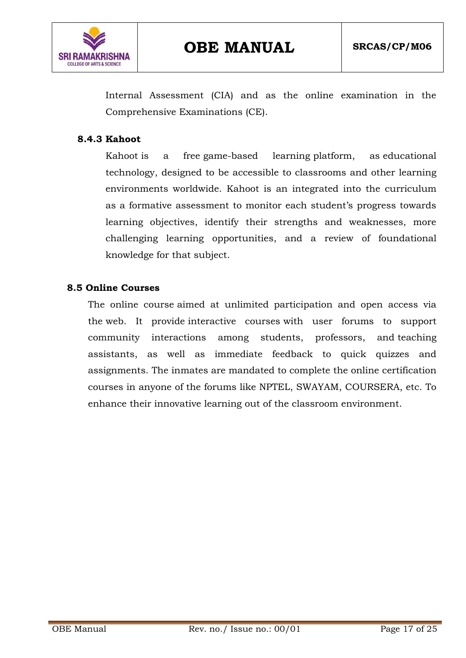

Internal Assessment (CIA) and as the online examination in the Comprehensive Examinations (CE).

#### **8.4.3 Kahoot**

Kahoot is a free [game-based learning](https://en.wikipedia.org/wiki/Game_based_learning) platform, as [educational](https://en.wikipedia.org/wiki/Educational_technology)  [technology,](https://en.wikipedia.org/wiki/Educational_technology) designed to be accessible to classrooms and other learning environments worldwide. Kahoot is an integrated into the curriculum as a [formative assessment](https://en.wikipedia.org/wiki/Formative_assessment) to monitor each student's progress towards learning objectives, identify their strengths and weaknesses, more challenging learning opportunities, and a review of foundational knowledge for that subject.

#### **8.5 Online Courses**

The [online course](https://en.wikipedia.org/wiki/Online_course) aimed at unlimited participation and open access via the [web.](https://en.wikipedia.org/wiki/World_Wide_Web) It provide [interactive courses](https://en.wikipedia.org/wiki/Interactive_course) with user forums to support community interactions among students, professors, and [teaching](https://en.wikipedia.org/wiki/Teaching_assistant)  [assistants,](https://en.wikipedia.org/wiki/Teaching_assistant) as well as immediate feedback to quick quizzes and assignments. The inmates are mandated to complete the online certification courses in anyone of the forums like NPTEL, SWAYAM, COURSERA, etc. To enhance their innovative learning out of the classroom environment.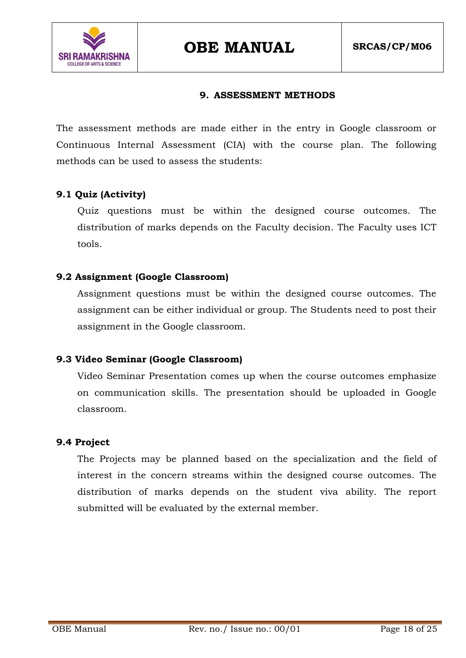

#### **9. ASSESSMENT METHODS**

The assessment methods are made either in the entry in Google classroom or Continuous Internal Assessment (CIA) with the course plan. The following methods can be used to assess the students:

#### **9.1 Quiz (Activity)**

Quiz questions must be within the designed course outcomes. The distribution of marks depends on the Faculty decision. The Faculty uses ICT tools.

#### **9.2 Assignment (Google Classroom)**

Assignment questions must be within the designed course outcomes. The assignment can be either individual or group. The Students need to post their assignment in the Google classroom.

#### **9.3 Video Seminar (Google Classroom)**

Video Seminar Presentation comes up when the course outcomes emphasize on communication skills. The presentation should be uploaded in Google classroom.

#### **9.4 Project**

The Projects may be planned based on the specialization and the field of interest in the concern streams within the designed course outcomes. The distribution of marks depends on the student viva ability. The report submitted will be evaluated by the external member.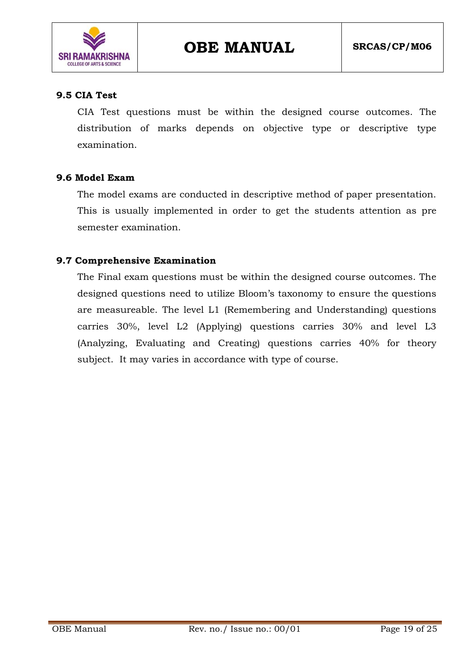

#### **9.5 CIA Test**

CIA Test questions must be within the designed course outcomes. The distribution of marks depends on objective type or descriptive type examination.

#### **9.6 Model Exam**

The model exams are conducted in descriptive method of paper presentation. This is usually implemented in order to get the students attention as pre semester examination.

#### **9.7 Comprehensive Examination**

The Final exam questions must be within the designed course outcomes. The designed questions need to utilize Bloom"s taxonomy to ensure the questions are measureable. The level L1 (Remembering and Understanding) questions carries 30%, level L2 (Applying) questions carries 30% and level L3 (Analyzing, Evaluating and Creating) questions carries 40% for theory subject. It may varies in accordance with type of course.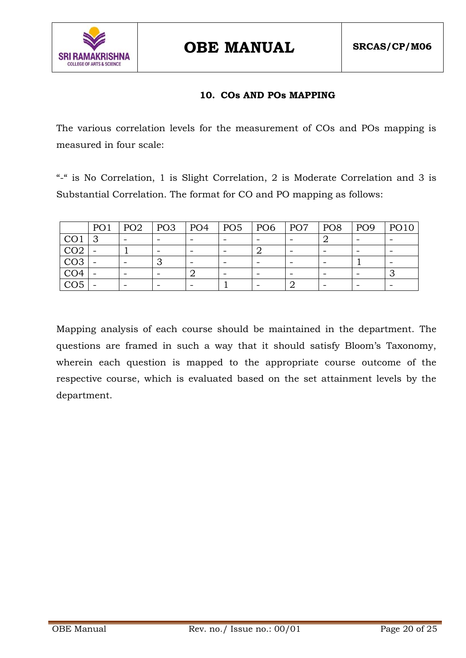

#### **10. COs AND POs MAPPING**

The various correlation levels for the measurement of COs and POs mapping is measured in four scale:

"-" is No Correlation, 1 is Slight Correlation, 2 is Moderate Correlation and 3 is Substantial Correlation. The format for CO and PO mapping as follows:

|                 | PO <sub>1</sub> | PO <sub>2</sub> | PO <sub>3</sub> | PO <sub>4</sub> | PO <sub>5</sub>          | PO <sub>6</sub> | PO <sub>7</sub> | PO <sub>8</sub> | PO <sub>9</sub> | PO10 |
|-----------------|-----------------|-----------------|-----------------|-----------------|--------------------------|-----------------|-----------------|-----------------|-----------------|------|
| CO <sub>1</sub> | $\mathbf{C}$    |                 |                 |                 |                          |                 |                 |                 |                 |      |
| CO <sub>2</sub> |                 |                 |                 |                 | $\overline{\phantom{0}}$ |                 |                 |                 |                 |      |
| CO <sub>3</sub> | ۰               |                 |                 |                 |                          |                 |                 |                 |                 |      |
| CO <sub>4</sub> |                 |                 |                 |                 |                          |                 |                 |                 |                 |      |
| CO <sub>5</sub> |                 |                 |                 |                 |                          |                 |                 |                 |                 |      |

Mapping analysis of each course should be maintained in the department. The questions are framed in such a way that it should satisfy Bloom"s Taxonomy, wherein each question is mapped to the appropriate course outcome of the respective course, which is evaluated based on the set attainment levels by the department.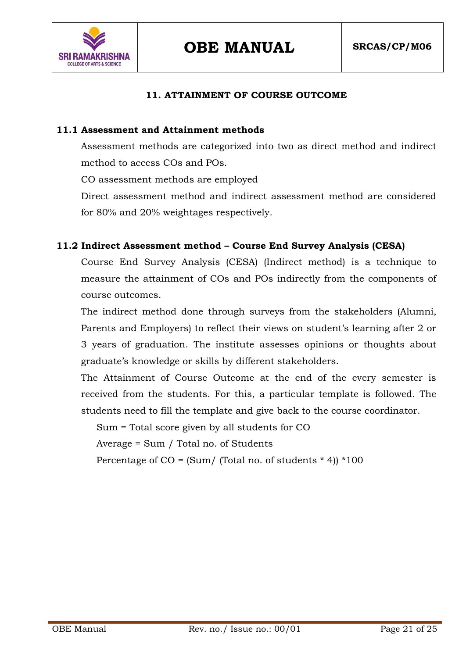



#### **11. ATTAINMENT OF COURSE OUTCOME**

#### **11.1 Assessment and Attainment methods**

Assessment methods are categorized into two as direct method and indirect method to access COs and POs.

CO assessment methods are employed

Direct assessment method and indirect assessment method are considered for 80% and 20% weightages respectively.

#### **11.2 Indirect Assessment method – Course End Survey Analysis (CESA)**

Course End Survey Analysis (CESA) (Indirect method) is a technique to measure the attainment of COs and POs indirectly from the components of course outcomes.

The indirect method done through surveys from the stakeholders (Alumni, Parents and Employers) to reflect their views on student's learning after 2 or 3 years of graduation. The institute assesses opinions or thoughts about graduate's knowledge or skills by different stakeholders.

The Attainment of Course Outcome at the end of the every semester is received from the students. For this, a particular template is followed. The students need to fill the template and give back to the course coordinator.

Sum = Total score given by all students for CO

Average = Sum / Total no. of Students

Percentage of  $CO = (Sum / (Total no. of students * 4)) * 100$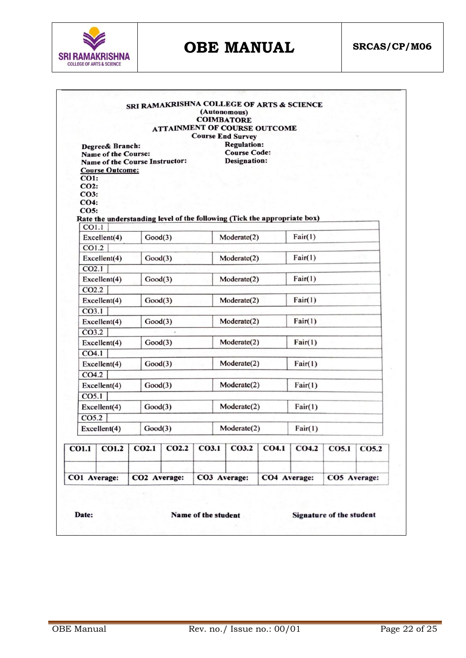

|                                                                                                    |              |                   |                   |                                                           | SRI RAMAKRISHNA COLLEGE OF ARTS & SCIENCE<br>(Autonomous)<br><b>COIMBATORE</b><br><b>ATTAINMENT OF COURSE OUTCOME</b> |              |         |              |       |
|----------------------------------------------------------------------------------------------------|--------------|-------------------|-------------------|-----------------------------------------------------------|-----------------------------------------------------------------------------------------------------------------------|--------------|---------|--------------|-------|
|                                                                                                    |              |                   |                   |                                                           | <b>Course End Survey</b>                                                                                              |              |         |              |       |
| Degree& Branch:<br>Name of the Course:<br>Name of the Course Instructor:<br><b>Course Outcome:</b> |              |                   |                   | <b>Regulation:</b><br><b>Course Code:</b><br>Designation: |                                                                                                                       |              |         |              |       |
| CO1:<br>$CO2$ :<br>CO3:<br>CO4:<br>CO5:                                                            |              |                   |                   |                                                           |                                                                                                                       |              |         |              |       |
|                                                                                                    |              |                   |                   |                                                           | Rate the understanding level of the following (Tick the appropriate box)                                              |              |         |              |       |
| CO1.1<br>Good(3)<br>Excellent(4)                                                                   |              |                   |                   |                                                           | Moderate(2)                                                                                                           |              | Fair(1) |              |       |
| CO1.2                                                                                              |              |                   |                   |                                                           |                                                                                                                       |              |         |              |       |
| Excellent(4)                                                                                       |              | Good(3)           |                   |                                                           | Moderate(2)                                                                                                           |              | Fair(1) |              |       |
| CO <sub>2.1</sub>                                                                                  |              |                   |                   |                                                           |                                                                                                                       |              |         |              |       |
| Excellent(4)<br>Good(3)                                                                            |              |                   | Moderate(2)       |                                                           |                                                                                                                       | Fair(1)      |         |              |       |
| CO <sub>2.2</sub>                                                                                  |              |                   |                   |                                                           |                                                                                                                       |              |         |              |       |
| Excellent(4)                                                                                       |              | Good(3)           |                   | Moderate(2)                                               |                                                                                                                       |              | Fair(1) |              |       |
| CO <sub>3.1</sub>                                                                                  |              |                   |                   |                                                           |                                                                                                                       |              |         |              |       |
| Excellent(4)                                                                                       |              | Good(3)           |                   | Moderate(2)                                               |                                                                                                                       |              | Fair(1) |              |       |
| CO <sub>3.2</sub>                                                                                  |              |                   |                   |                                                           |                                                                                                                       |              |         |              |       |
| Excellent(4)                                                                                       |              | Good(3)           |                   | Moderate(2)                                               |                                                                                                                       |              | Fair(1) |              |       |
| CO4.1                                                                                              |              |                   |                   |                                                           |                                                                                                                       |              |         |              |       |
| Excellent(4)                                                                                       |              | Good(3)           |                   | Moderate(2)<br>Fair(1)                                    |                                                                                                                       |              |         |              |       |
| CO4.2                                                                                              |              |                   |                   |                                                           |                                                                                                                       |              |         |              |       |
| Excellent(4)                                                                                       |              | Good(3)           |                   |                                                           | Moderate(2)                                                                                                           |              | Fair(1) |              |       |
| CO5.1                                                                                              |              |                   |                   |                                                           |                                                                                                                       |              |         |              |       |
| Excellent(4)                                                                                       |              | Good(3)           |                   |                                                           | Moderate(2)                                                                                                           |              | Fair(1) |              |       |
| CO5.2                                                                                              |              |                   |                   |                                                           |                                                                                                                       |              |         |              |       |
| Excellent(4)                                                                                       |              | Good(3)           |                   |                                                           | Moderate(2)                                                                                                           |              | Fair(1) |              |       |
| <b>CO1.1</b>                                                                                       | <b>CO1.2</b> | CO <sub>2.1</sub> | CO <sub>2.2</sub> | CO3.1                                                     | CO3.2                                                                                                                 | CO4.1        | CO4.2   | <b>CO5.1</b> | CO5.2 |
|                                                                                                    |              |                   |                   |                                                           |                                                                                                                       |              |         |              |       |
|                                                                                                    |              | CO2 Average:      |                   |                                                           |                                                                                                                       |              |         |              |       |
| CO1 Average:                                                                                       |              |                   |                   | CO3 Average:                                              |                                                                                                                       | CO4 Average: |         | CO5 Average: |       |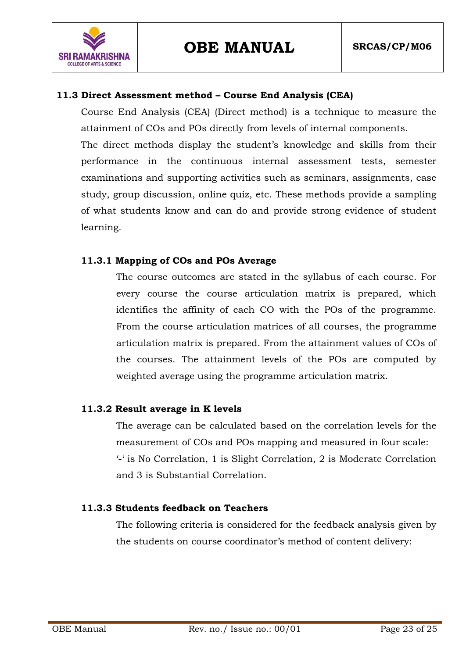

**SRI RAMAKRISHNA COLLEGE OF ARTS & SCIENCE** 

> Course End Analysis (CEA) (Direct method) is a technique to measure the attainment of COs and POs directly from levels of internal components.

> The direct methods display the student"s knowledge and skills from their performance in the continuous internal assessment tests, semester examinations and supporting activities such as seminars, assignments, case study, group discussion, online quiz, etc. These methods provide a sampling of what students know and can do and provide strong evidence of student learning.

#### **11.3.1 Mapping of COs and POs Average**

The course outcomes are stated in the syllabus of each course. For every course the course articulation matrix is prepared, which identifies the affinity of each CO with the POs of the programme. From the course articulation matrices of all courses, the programme articulation matrix is prepared. From the attainment values of COs of the courses. The attainment levels of the POs are computed by weighted average using the programme articulation matrix.

#### **11.3.2 Result average in K levels**

The average can be calculated based on the correlation levels for the measurement of COs and POs mapping and measured in four scale: "-" is No Correlation, 1 is Slight Correlation, 2 is Moderate Correlation and 3 is Substantial Correlation.

#### **11.3.3 Students feedback on Teachers**

The following criteria is considered for the feedback analysis given by the students on course coordinator's method of content delivery: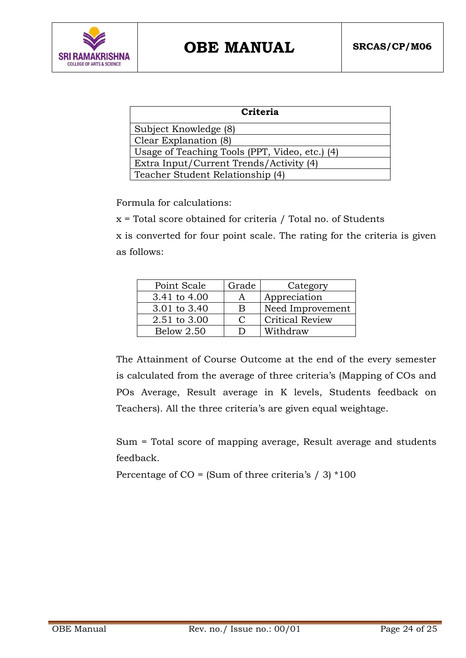

| Criteria                                       |
|------------------------------------------------|
| Subject Knowledge (8)                          |
| Clear Explanation (8)                          |
| Usage of Teaching Tools (PPT, Video, etc.) (4) |
| Extra Input/Current Trends/Activity (4)        |
| Teacher Student Relationship (4)               |

Formula for calculations:

x = Total score obtained for criteria / Total no. of Students

x is converted for four point scale. The rating for the criteria is given as follows:

| Point Scale  | Grade | Category               |
|--------------|-------|------------------------|
| 3.41 to 4.00 | А     | Appreciation           |
| 3.01 to 3.40 | B     | Need Improvement       |
| 2.51 to 3.00 | C     | <b>Critical Review</b> |
| Below $2.50$ |       | Withdraw               |

The Attainment of Course Outcome at the end of the every semester is calculated from the average of three criteria's (Mapping of COs and POs Average, Result average in K levels, Students feedback on Teachers). All the three criteria's are given equal weightage.

Sum = Total score of mapping average, Result average and students feedback.

Percentage of  $CO = (Sum of three criteria's / 3) * 100$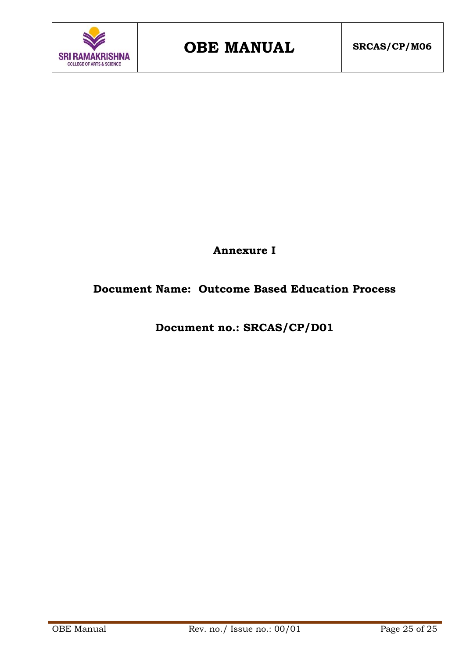

**Annexure I**

### **Document Name: Outcome Based Education Process**

**Document no.: SRCAS/CP/D01**